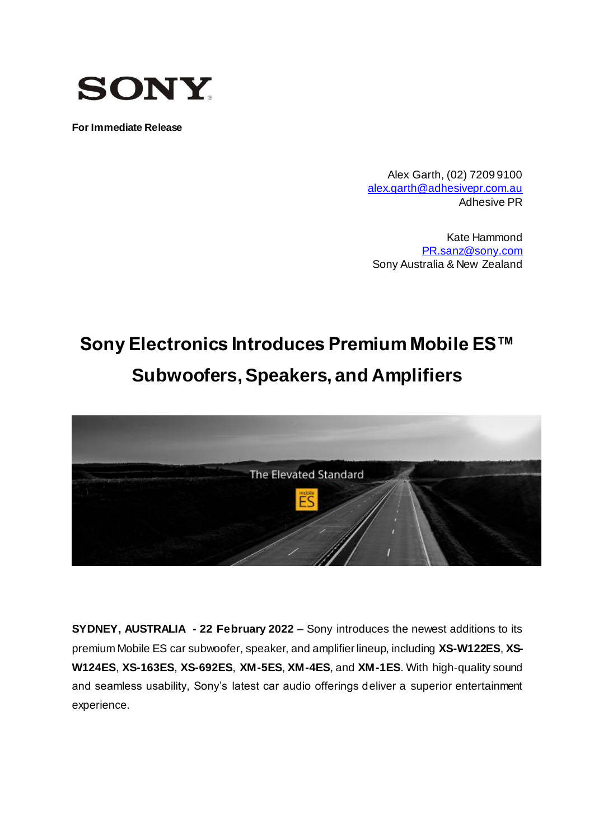

**For Immediate Release**

Alex Garth, (02) 7209 9100 [alex.garth@adhesivepr.com.au](mailto:alex.garth@adhesivepr.com.au) Adhesive PR

Kate Hammond [PR.sanz@sony.com](mailto:PR.sanz@sony.com) Sony Australia & New Zealand

# **Sony Electronics Introduces Premium Mobile ES™ Subwoofers, Speakers, and Amplifiers**



**SYDNEY, AUSTRALIA - 22 February 2022** – Sony introduces the newest additions to its premium Mobile ES car subwoofer, speaker, and amplifier lineup, including **XS-W122ES**, **XS-W124ES**, **XS-163ES**, **XS-692ES**, **XM-5ES**, **XM-4ES**, and **XM-1ES**. With high-quality sound and seamless usability, Sony's latest car audio offerings deliver a superior entertainment experience.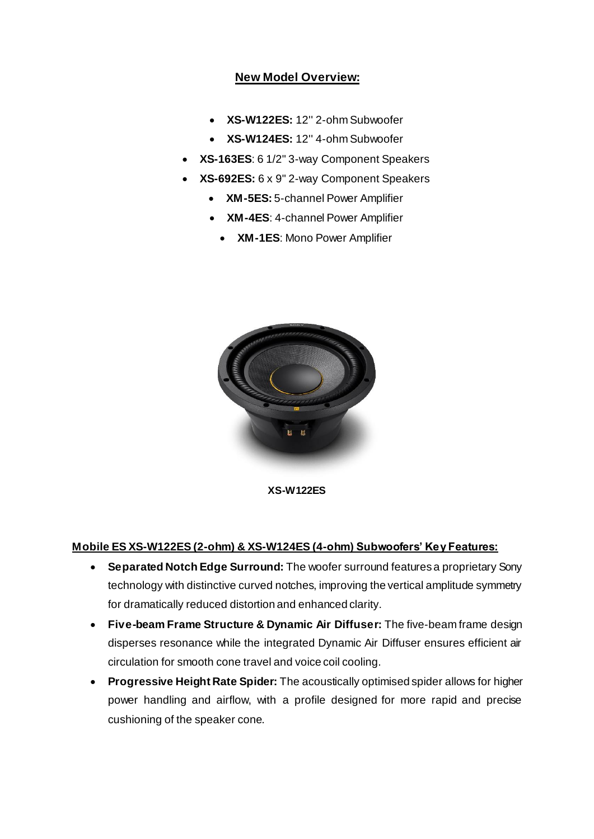## **New Model Overview:**

- **XS-W122ES:** 12'' 2-ohm Subwoofer
- **XS-W124ES:** 12'' 4-ohm Subwoofer
- **XS-163ES**: 6 1/2" 3-way Component Speakers
- **XS-692ES:** 6 x 9" 2-way Component Speakers
	- **XM-5ES:** 5-channel Power Amplifier
	- **XM-4ES**: 4-channel Power Amplifier
		- **XM-1ES**: Mono Power Amplifier



**XS-W122ES**

## **Mobile ES XS-W122ES (2-ohm) & XS-W124ES (4-ohm) Subwoofers' Key Features:**

- **Separated Notch Edge Surround:** The woofer surround features a proprietary Sony technology with distinctive curved notches, improving the vertical amplitude symmetry for dramatically reduced distortion and enhanced clarity.
- **Five-beam Frame Structure & Dynamic Air Diffuser:** The five-beam frame design disperses resonance while the integrated Dynamic Air Diffuser ensures efficient air circulation for smooth cone travel and voice coil cooling.
- **Progressive Height Rate Spider:** The acoustically optimised spider allows for higher power handling and airflow, with a profile designed for more rapid and precise cushioning of the speaker cone.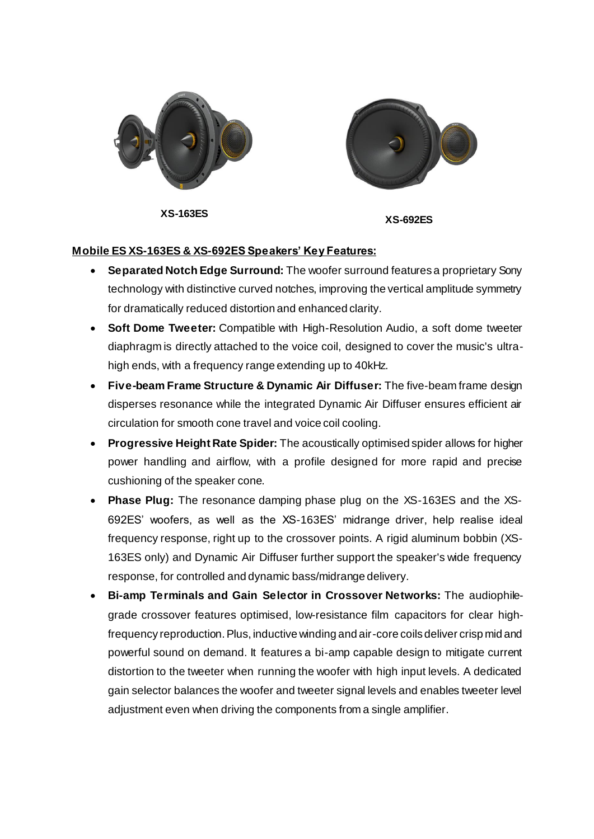

**XS-163ES XS-692ES**



#### **Mobile ES XS-163ES & XS-692ES Speakers' Key Features:**

- **Separated Notch Edge Surround:** The woofer surround features a proprietary Sony technology with distinctive curved notches, improving the vertical amplitude symmetry for dramatically reduced distortion and enhanced clarity.
- **Soft Dome Tweeter:** Compatible with High-Resolution Audio, a soft dome tweeter diaphragm is directly attached to the voice coil, designed to cover the music's ultrahigh ends, with a frequency range extending up to 40kHz.
- **Five-beam Frame Structure & Dynamic Air Diffuser:** The five-beam frame design disperses resonance while the integrated Dynamic Air Diffuser ensures efficient air circulation for smooth cone travel and voice coil cooling.
- **Progressive Height Rate Spider:** The acoustically optimised spider allows for higher power handling and airflow, with a profile designed for more rapid and precise cushioning of the speaker cone.
- **Phase Plug:** The resonance damping phase plug on the XS-163ES and the XS-692ES' woofers, as well as the XS-163ES' midrange driver, help realise ideal frequency response, right up to the crossover points. A rigid aluminum bobbin (XS-163ES only) and Dynamic Air Diffuser further support the speaker's wide frequency response, for controlled and dynamic bass/midrange delivery.
- **Bi-amp Terminals and Gain Selector in Crossover Networks:** The audiophilegrade crossover features optimised, low-resistance film capacitors for clear highfrequency reproduction. Plus, inductive winding and air-core coils deliver crisp mid and powerful sound on demand. It features a bi-amp capable design to mitigate current distortion to the tweeter when running the woofer with high input levels. A dedicated gain selector balances the woofer and tweeter signal levels and enables tweeter level adjustment even when driving the components from a single amplifier.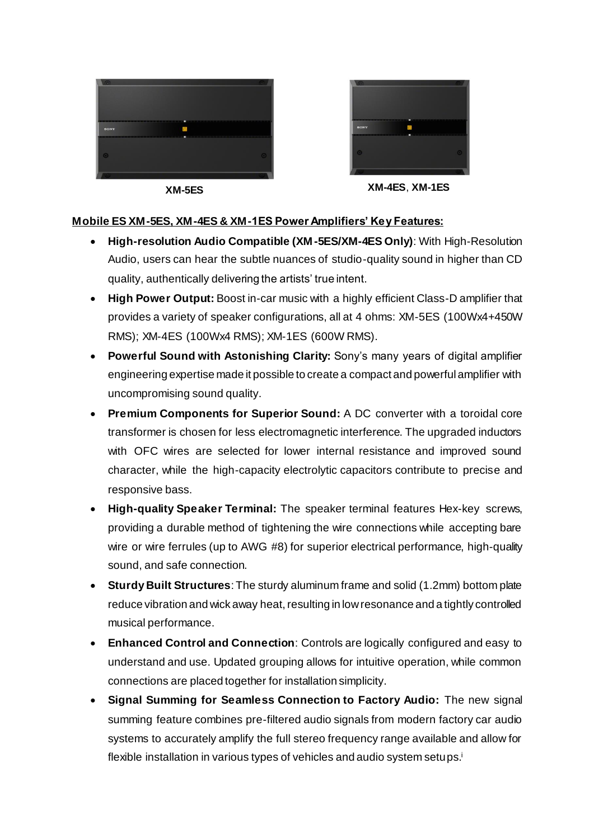



**XM-5ES XM-4ES**, **XM-1ES**

## **Mobile ES XM-5ES, XM-4ES & XM-1ES Power Amplifiers' Key Features:**

- **High-resolution Audio Compatible (XM-5ES/XM-4ES Only)**: With High-Resolution Audio, users can hear the subtle nuances of studio-quality sound in higher than CD quality, authentically delivering the artists' true intent.
- **High Power Output:** Boost in-car music with a highly efficient Class-D amplifier that provides a variety of speaker configurations, all at 4 ohms: XM-5ES (100Wx4+450W RMS); XM-4ES (100Wx4 RMS); XM-1ES (600W RMS).
- **Powerful Sound with Astonishing Clarity:** Sony's many years of digital amplifier engineering expertise made it possible to create a compact and powerful amplifier with uncompromising sound quality.
- **Premium Components for Superior Sound:** A DC converter with a toroidal core transformer is chosen for less electromagnetic interference. The upgraded inductors with OFC wires are selected for lower internal resistance and improved sound character, while the high-capacity electrolytic capacitors contribute to precise and responsive bass.
- **High-quality Speaker Terminal:** The speaker terminal features Hex-key screws, providing a durable method of tightening the wire connections while accepting bare wire or wire ferrules (up to AWG #8) for superior electrical performance, high-quality sound, and safe connection.
- **Sturdy Built Structures**: The sturdy aluminum frame and solid (1.2mm) bottom plate reduce vibration and wick away heat, resulting in low resonance and a tightly controlled musical performance.
- **Enhanced Control and Connection**: Controls are logically configured and easy to understand and use. Updated grouping allows for intuitive operation, while common connections are placed together for installation simplicity.
- **Signal Summing for Seamless Connection to Factory Audio:** The new signal summing feature combines pre-filtered audio signals from modern factory car audio systems to accurately amplify the full stereo frequency range available and allow for flexible installation in various types of vehicles and audio system setups.<sup>i</sup>